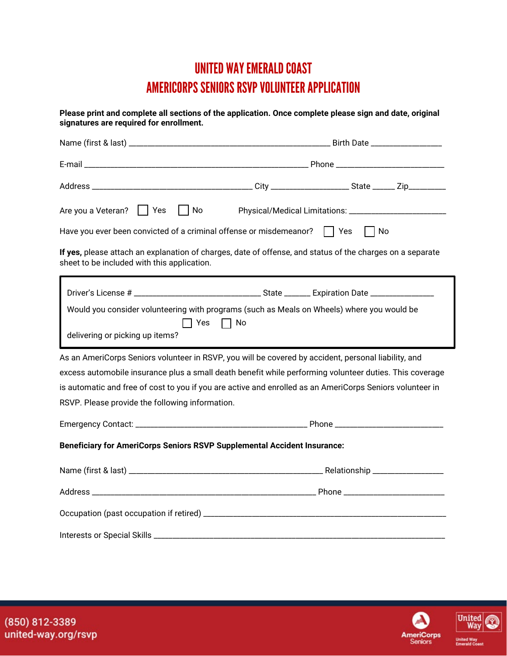## UNITED WAY EMERALD COAST AMERICORPS SENIORS RSVP VOLUNTEER APPLICATION

**Please print and complete all sections of the application. Once complete please sign and date, original signatures are required for enrollment.** Name (first & last) \_\_\_\_\_\_\_\_\_\_\_\_\_\_\_\_\_\_\_\_\_\_\_\_\_\_\_\_\_\_\_\_\_\_\_\_\_\_\_\_\_\_\_\_\_\_\_\_\_\_\_\_\_\_ Birth Date \_\_\_\_\_\_\_\_\_\_\_\_\_\_\_\_\_\_\_  $E$ -mail  $\Box$ Address \_\_\_\_\_\_\_\_\_\_\_\_\_\_\_\_\_\_\_\_\_\_\_\_\_\_\_\_\_\_\_\_\_\_\_\_\_\_\_\_\_\_\_ City \_\_\_\_\_\_\_\_\_\_\_\_\_\_\_\_\_\_\_\_\_ State \_\_\_\_\_\_ Zip\_\_\_\_\_\_\_\_\_\_ Are you a Veteran?  $\hfill\Box$  Yes  $\hfill\Box$  No  $\hfill\Box$  Physical/Medical Limitations: \_\_\_\_\_\_\_\_\_\_\_\_\_\_\_\_\_\_\_\_\_\_\_\_\_\_ Have you ever been convicted of a criminal offense or misdemeanor? Yes No **If yes,** please attach an explanation of charges, date of offense, and status of the charges on a separate sheet to be included with this application. As an AmeriCorps Seniors volunteer in RSVP, you will be covered by accident, personal liability, and excess automobile insurance plus a small death benefit while performing volunteer duties. This coverage is automatic and free of cost to you if you are active and enrolled as an AmeriCorps Seniors volunteer in RSVP. Please provide the following information. Emergency Contact: \_\_\_\_\_\_\_\_\_\_\_\_\_\_\_\_\_\_\_\_\_\_\_\_\_\_\_\_\_\_\_\_\_\_\_\_\_\_\_\_\_\_\_\_\_\_ Phone \_\_\_\_\_\_\_\_\_\_\_\_\_\_\_\_\_\_\_\_\_\_\_\_\_\_\_\_\_ **Beneficiary for AmeriCorps Seniors RSVP Supplemental Accident Insurance:** Name (first & last) \_\_\_\_\_\_\_\_\_\_\_\_\_\_\_\_\_\_\_\_\_\_\_\_\_\_\_\_\_\_\_\_\_\_\_\_\_\_\_\_\_\_\_\_\_\_\_\_\_\_\_\_ Relationship \_\_\_\_\_\_\_\_\_\_\_\_\_\_\_\_\_\_\_ Address \_\_\_\_\_\_\_\_\_\_\_\_\_\_\_\_\_\_\_\_\_\_\_\_\_\_\_\_\_\_\_\_\_\_\_\_\_\_\_\_\_\_\_\_\_\_\_\_\_\_\_\_\_\_\_\_\_\_\_\_ Phone \_\_\_\_\_\_\_\_\_\_\_\_\_\_\_\_\_\_\_\_\_\_\_\_\_\_\_ Occupation (past occupation if retired) \_\_\_\_\_\_\_\_\_\_\_\_\_\_\_\_\_\_\_\_\_\_\_\_\_\_\_\_\_\_\_\_\_\_\_\_\_\_\_\_\_\_\_\_\_\_\_\_\_\_\_\_\_\_\_\_\_\_\_\_\_\_\_\_\_ Interests or Special Skills \_\_\_\_\_\_\_\_\_\_\_\_\_\_\_\_\_\_\_\_\_\_\_\_\_\_\_\_\_\_\_\_\_\_\_\_\_\_\_\_\_\_\_\_\_\_\_\_\_\_\_\_\_\_\_\_\_\_\_\_\_\_\_\_\_\_\_\_\_\_\_\_\_\_\_\_\_\_ Driver's License #  $\overline{a}$  State Expiration Date Would you consider volunteering with programs (such as Meals on Wheels) where you would be delivering or picking up items? l  $\Box$  Yes  $\Box$  No

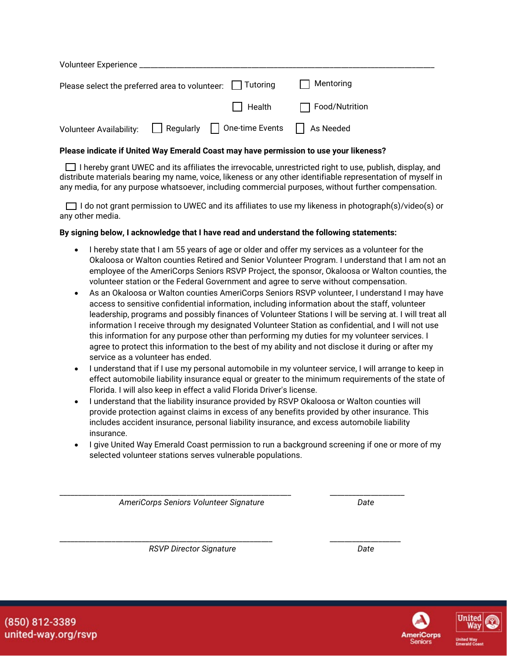| Volunteer Experience                                           |           |                 |                       |
|----------------------------------------------------------------|-----------|-----------------|-----------------------|
| Please select the preferred area to volunteer: $\Box$ Tutoring |           | Mentoring       |                       |
|                                                                |           | $\Box$ Health   | $\Box$ Food/Nutrition |
| <b>Volunteer Availability:</b>                                 | Regularly | One-time Events | As Needed             |

## **Please indicate if United Way Emerald Coast may have permission to use your likeness?**

I hereby grant UWEC and its affiliates the irrevocable, unrestricted right to use, publish, display, and distribute materials bearing my name, voice, likeness or any other identifiable representation of myself in any media, for any purpose whatsoever, including commercial purposes, without further compensation.

I do not grant permission to UWEC and its affiliates to use my likeness in photograph(s)/video(s) or any other media.

## **By signing below, I acknowledge that I have read and understand the following statements:**

- I hereby state that I am 55 years of age or older and offer my services as a volunteer for the Okaloosa or Walton counties Retired and Senior Volunteer Program. I understand that I am not an employee of the AmeriCorps Seniors RSVP Project, the sponsor, Okaloosa or Walton counties, the volunteer station or the Federal Government and agree to serve without compensation.
- As an Okaloosa or Walton counties AmeriCorps Seniors RSVP volunteer, I understand I may have access to sensitive confidential information, including information about the staff, volunteer leadership, programs and possibly finances of Volunteer Stations I will be serving at. I will treat all information I receive through my designated Volunteer Station as confidential, and I will not use this information for any purpose other than performing my duties for my volunteer services. I agree to protect this information to the best of my ability and not disclose it during or after my service as a volunteer has ended.
- I understand that if I use my personal automobile in my volunteer service, I will arrange to keep in effect automobile liability insurance equal or greater to the minimum requirements of the state of Florida. I will also keep in effect a valid Florida Driver's license.
- I understand that the liability insurance provided by RSVP Okaloosa or Walton counties will provide protection against claims in excess of any benefits provided by other insurance. This includes accident insurance, personal liability insurance, and excess automobile liability insurance.
- I give United Way Emerald Coast permission to run a background screening if one or more of my selected volunteer stations serves vulnerable populations.

\_\_\_\_\_\_\_\_\_\_\_\_\_\_\_\_\_\_\_\_\_\_\_\_\_\_\_\_\_\_\_\_\_\_\_\_\_\_\_\_\_\_\_\_\_\_\_\_\_\_\_\_\_\_\_\_\_\_\_\_\_\_ \_\_\_\_\_\_\_\_\_\_\_\_\_\_\_\_\_\_\_\_

\_\_\_\_\_\_\_\_\_\_\_\_\_\_\_\_\_\_\_\_\_\_\_\_\_\_\_\_\_\_\_\_\_\_\_\_\_\_\_\_\_\_\_\_\_\_\_\_\_\_\_\_\_\_\_\_\_ \_\_\_\_\_\_\_\_\_\_\_\_\_\_\_\_\_\_\_

*AmeriCorps Seniors Volunteer Signature Date*

**RSVP Director Signature Date** Date